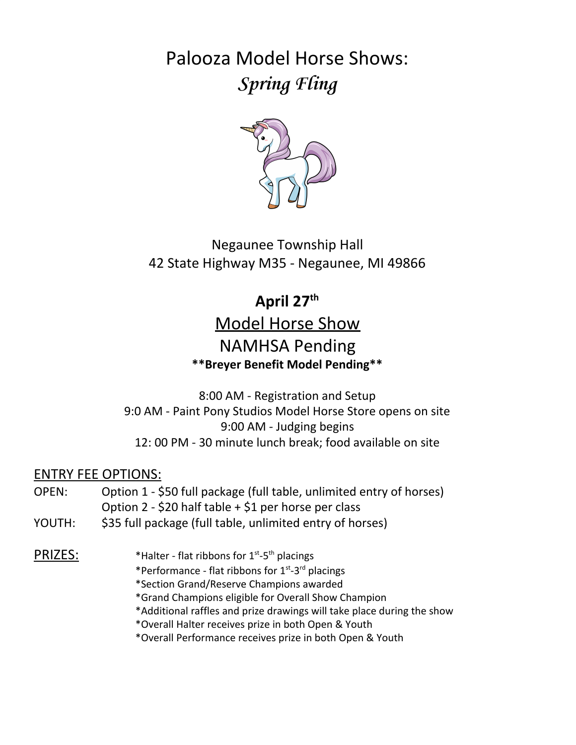Palooza Model Horse Shows: **Spring Fling**



Negaunee Township Hall 42 State Highway M35 - Negaunee, MI 49866

# **April 27th**

# Model Horse Show NAMHSA Pending **\*\*Breyer Benefit Model Pending\*\***

8:00 AM - Registration and Setup 9:0 AM - Paint Pony Studios Model Horse Store opens on site 9:00 AM - Judging begins 12: 00 PM - 30 minute lunch break; food available on site

#### ENTRY FEE OPTIONS:

- OPEN: Option 1 \$50 full package (full table, unlimited entry of horses) Option 2 - \$20 half table + \$1 per horse per class
- YOUTH: \$35 full package (full table, unlimited entry of horses)

#### PRIZES: \*Halter - flat ribbons for 1st -5th placings

- \*Performance flat ribbons for 1<sup>st</sup>-3<sup>rd</sup> placings
- \*Section Grand/Reserve Champions awarded
- \*Grand Champions eligible for Overall Show Champion
- \*Additional raffles and prize drawings will take place during the show
- \*Overall Halter receives prize in both Open & Youth
- \*Overall Performance receives prize in both Open & Youth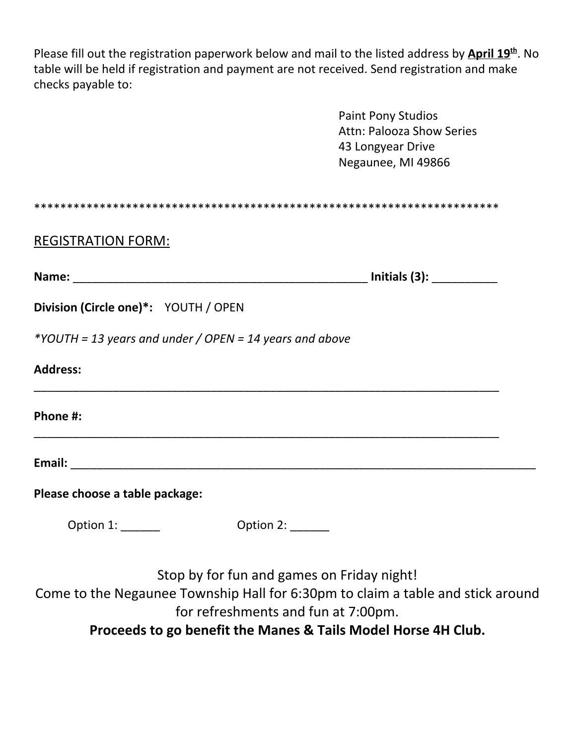Please fill out the registration paperwork below and mail to the listed address by *April 19*<sup>th</sup>. No table will be held if registration and payment are not received. Send registration and make checks payable to:

|                                                         | <b>Paint Pony Studios</b><br><b>Attn: Palooza Show Series</b><br>43 Longyear Drive<br>Negaunee, MI 49866                                                             |
|---------------------------------------------------------|----------------------------------------------------------------------------------------------------------------------------------------------------------------------|
|                                                         |                                                                                                                                                                      |
| <b>REGISTRATION FORM:</b>                               |                                                                                                                                                                      |
|                                                         | Initials (3): ____________                                                                                                                                           |
| Division (Circle one)*: YOUTH / OPEN                    |                                                                                                                                                                      |
| *YOUTH = 13 years and under / OPEN = 14 years and above |                                                                                                                                                                      |
| <b>Address:</b>                                         |                                                                                                                                                                      |
| Phone #:                                                |                                                                                                                                                                      |
|                                                         |                                                                                                                                                                      |
| Please choose a table package:                          |                                                                                                                                                                      |
| Option 1: ______<br><b>Option 2: ______</b>             |                                                                                                                                                                      |
|                                                         | Stop by for fun and games on Friday night!<br>Come to the Negaunee Township Hall for 6:30pm to claim a table and stick around<br>for refreshments and fun at 7:00pm. |

**Proceeds to go benefit the Manes & Tails Model Horse 4H Club.**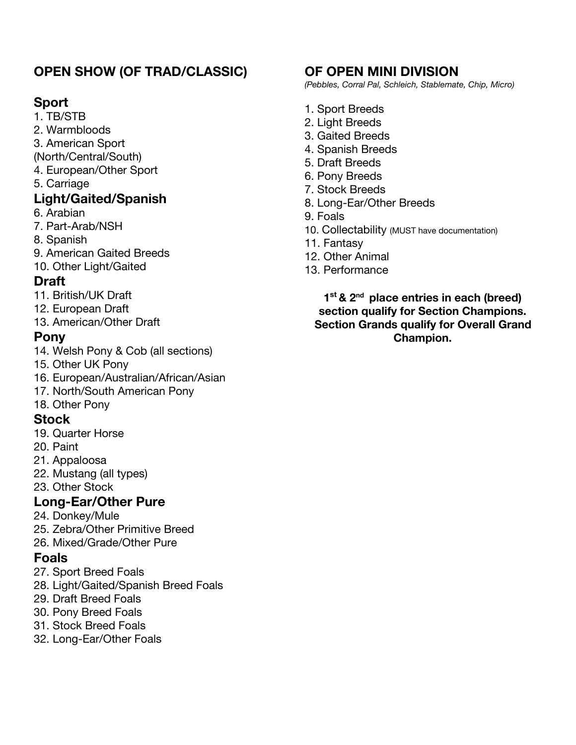## **OPEN SHOW (OF TRAD/CLASSIC)**

#### **Sport**

1. TB/STB

- 2. Warmbloods
- 3. American Sport
- (North/Central/South)
- 4. European/Other Sport
- 5. Carriage

#### **Light/Gaited/Spanish**

- 6. Arabian
- 7. Part-Arab/NSH
- 8. Spanish
- 9. American Gaited Breeds

10. Other Light/Gaited

#### **Draft**

- 11. British/UK Draft
- 12. European Draft
- 13. American/Other Draft

#### **Pony**

- 14. Welsh Pony & Cob (all sections)
- 15. Other UK Pony
- 16. European/Australian/African/Asian
- 17. North/South American Pony
- 18. Other Pony

#### **Stock**

- 19. Quarter Horse
- 20. Paint
- 21. Appaloosa
- 22. Mustang (all types)
- 23. Other Stock

## **Long-Ear/Other Pure**

- 24. Donkey/Mule
- 25. Zebra/Other Primitive Breed
- 26. Mixed/Grade/Other Pure

#### **Foals**

- 27. Sport Breed Foals
- 28. Light/Gaited/Spanish Breed Foals
- 29. Draft Breed Foals
- 30. Pony Breed Foals
- 31. Stock Breed Foals
- 32. Long-Ear/Other Foals

#### **OF OPEN MINI DIVISION**

*(Pebbles, Corral Pal, Schleich, Stablemate, Chip, Micro)*

- 1. Sport Breeds
- 2. Light Breeds
- 3. Gaited Breeds
- 4. Spanish Breeds
- 5. Draft Breeds
- 6. Pony Breeds
- 7. Stock Breeds
- 8. Long-Ear/Other Breeds
- 9. Foals
- 10. Collectability (MUST have documentation)
- 11. Fantasy
- 12. Other Animal
- 13. Performance

#### **1 st & 2nd place entries in each (breed) section qualify for Section Champions. Section Grands qualify for Overall Grand Champion.**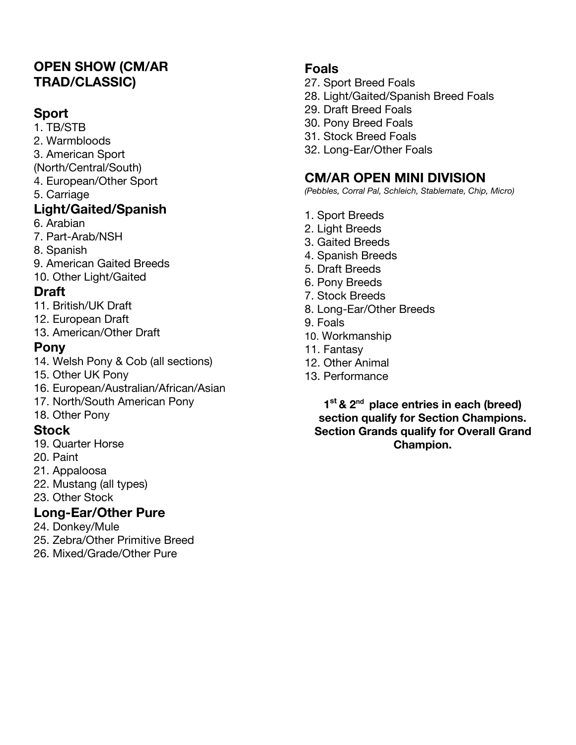### **OPEN SHOW (CM/AR TRAD/CLASSIC)**

#### **Sport**

1. TB/STB 2. Warmbloods

- 3. American Sport
- (North/Central/South)
- 4. European/Other Sport
- 5. Carriage

### **Light/Gaited/Spanish**

- 6. Arabian
- 7. Part-Arab/NSH
- 8. Spanish
- 9. American Gaited Breeds
- 10. Other Light/Gaited

### **Draft**

- 11. British/UK Draft
- 12. European Draft
- 13. American/Other Draft

### **Pony**

- 14. Welsh Pony & Cob (all sections)
- 15. Other UK Pony
- 16. European/Australian/African/Asian
- 17. North/South American Pony

#### 18. Other Pony

## **Stock**

- 19. Quarter Horse
- 20. Paint
- 21. Appaloosa
- 22. Mustang (all types)
- 23. Other Stock

# **Long-Ear/Other Pure**

- 24. Donkey/Mule
- 25. Zebra/Other Primitive Breed
- 26. Mixed/Grade/Other Pure

### **Foals**

- 27. Sport Breed Foals
- 28. Light/Gaited/Spanish Breed Foals
- 29. Draft Breed Foals
- 30. Pony Breed Foals
- 31. Stock Breed Foals
- 32. Long-Ear/Other Foals

# **CM/AR OPEN MINI DIVISION**

*(Pebbles, Corral Pal, Schleich, Stablemate, Chip, Micro)*

- 1. Sport Breeds
- 2. Light Breeds
- 3. Gaited Breeds
- 4. Spanish Breeds
- 5. Draft Breeds
- 6. Pony Breeds
- 7. Stock Breeds
- 8. Long-Ear/Other Breeds
- 9. Foals
- 10. Workmanship
- 11. Fantasy
- 12. Other Animal
- 13. Performance

**1 st & 2nd place entries in each (breed) section qualify for Section Champions. Section Grands qualify for Overall Grand Champion.**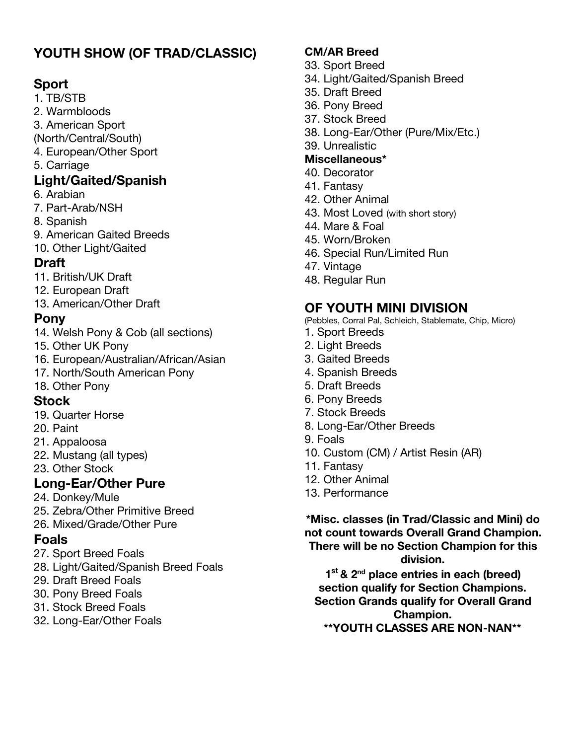# **YOUTH SHOW (OF TRAD/CLASSIC)**

#### **Sport**

- 1. TB/STB
- 2. Warmbloods
- 3. American Sport
- (North/Central/South) 4. European/Other Sport
- 5. Carriage
- **Light/Gaited/Spanish**
- 6. Arabian
- 7. Part-Arab/NSH
- 8. Spanish
- 9. American Gaited Breeds
- 10. Other Light/Gaited

## **Draft**

- 11. British/UK Draft
- 12. European Draft
- 13. American/Other Draft

## **Pony**

- 14. Welsh Pony & Cob (all sections)
- 15. Other UK Pony
- 16. European/Australian/African/Asian
- 17. North/South American Pony

## 18. Other Pony

## **Stock**

- 19. Quarter Horse
- 20. Paint
- 21. Appaloosa
- 22. Mustang (all types)
- 23. Other Stock

# **Long-Ear/Other Pure**

- 24. Donkey/Mule
- 25. Zebra/Other Primitive Breed
- 26. Mixed/Grade/Other Pure

# **Foals**

- 27. Sport Breed Foals
- 28. Light/Gaited/Spanish Breed Foals
- 29. Draft Breed Foals
- 30. Pony Breed Foals
- 31. Stock Breed Foals
- 32. Long-Ear/Other Foals

### **CM/AR Breed**

- 33. Sport Breed
- 34. Light/Gaited/Spanish Breed
- 35. Draft Breed
- 36. Pony Breed
- 37. Stock Breed
- 38. Long-Ear/Other (Pure/Mix/Etc.)
- 39. Unrealistic

### **Miscellaneous\***

- 40. Decorator
- 41. Fantasy
- 42. Other Animal
- 43. Most Loved (with short story)
- 44. Mare & Foal
- 45. Worn/Broken
- 46. Special Run/Limited Run
- 47. Vintage
- 48. Regular Run

# **OF YOUTH MINI DIVISION**

(Pebbles, Corral Pal, Schleich, Stablemate, Chip, Micro)

- 1. Sport Breeds
- 2. Light Breeds
- 3. Gaited Breeds
- 4. Spanish Breeds
- 5. Draft Breeds
- 6. Pony Breeds
- 7. Stock Breeds
- 8. Long-Ear/Other Breeds
- 9. Foals
- 10. Custom (CM) / Artist Resin (AR)
- 11. Fantasy
- 12. Other Animal
- 13. Performance

**\*Misc. classes (in Trad/Classic and Mini) do not count towards Overall Grand Champion. There will be no Section Champion for this division.**

**1 st & 2nd place entries in each (breed) section qualify for Section Champions. Section Grands qualify for Overall Grand Champion. \*\*YOUTH CLASSES ARE NON-NAN\*\***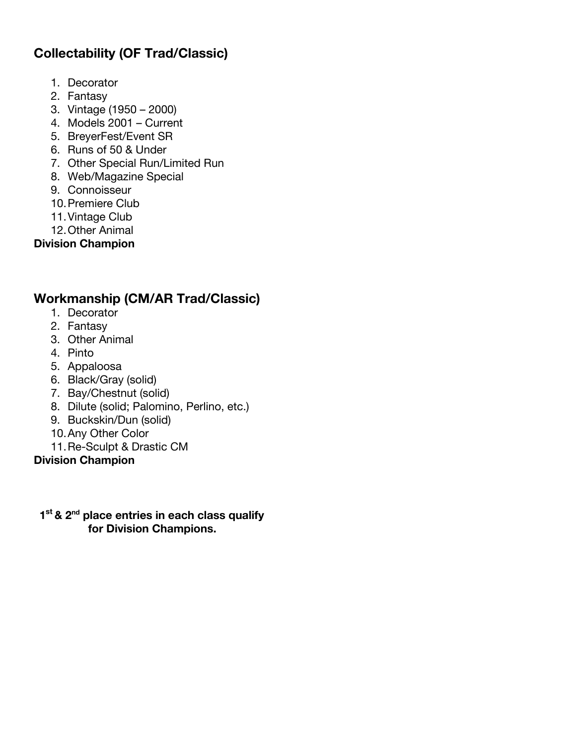### **Collectability (OF Trad/Classic)**

- 1. Decorator
- 2. Fantasy
- 3. Vintage (1950 2000)
- 4. Models 2001 Current
- 5. BreyerFest/Event SR
- 6. Runs of 50 & Under
- 7. Other Special Run/Limited Run
- 8. Web/Magazine Special
- 9. Connoisseur
- 10.Premiere Club
- 11.Vintage Club
- 12.Other Animal

**Division Champion**

### **Workmanship (CM/AR Trad/Classic)**

- 1. Decorator
- 2. Fantasy
- 3. Other Animal
- 4. Pinto
- 5. Appaloosa
- 6. Black/Gray (solid)
- 7. Bay/Chestnut (solid)
- 8. Dilute (solid; Palomino, Perlino, etc.)
- 9. Buckskin/Dun (solid)
- 10.Any Other Color
- 11.Re-Sculpt & Drastic CM

**Division Champion**

#### **1 st & 2nd place entries in each class qualify for Division Champions.**